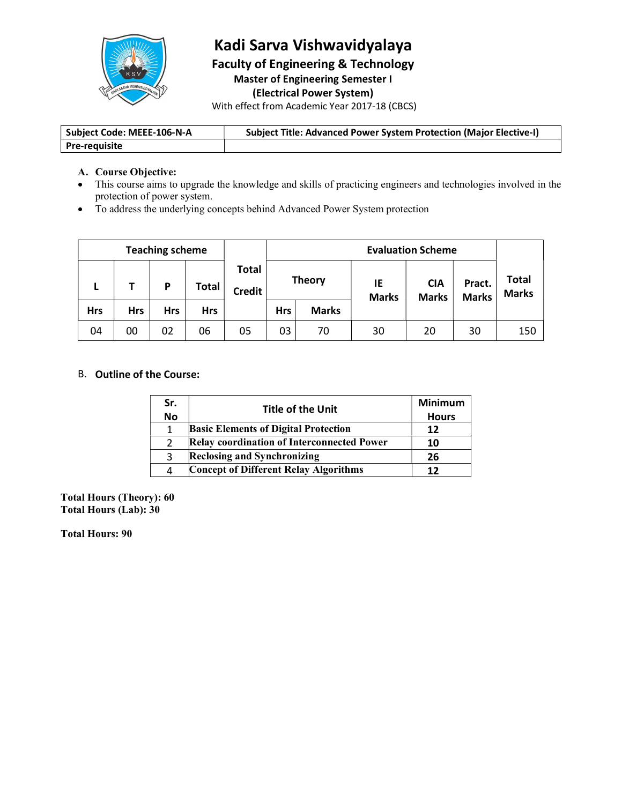

# Kadi Sarva Vishwavidyalaya

Faculty of Engineering & Technology Master of Engineering Semester I (Electrical Power System)

With effect from Academic Year 2017-18 (CBCS)

| Subject Code: MEEE-106-N-A | <b>Subject Title: Advanced Power System Protection (Major Elective-I)</b> |
|----------------------------|---------------------------------------------------------------------------|
| <b>Pre-requisite</b>       |                                                                           |

### A. Course Objective:

- This course aims to upgrade the knowledge and skills of practicing engineers and technologies involved in the protection of power system.
- To address the underlying concepts behind Advanced Power System protection

| <b>Teaching scheme</b> |     |            |              | <b>Evaluation Scheme</b>      |            |               |                    |                            |                        |                       |
|------------------------|-----|------------|--------------|-------------------------------|------------|---------------|--------------------|----------------------------|------------------------|-----------------------|
| -                      |     | D          | <b>Total</b> | <b>Total</b><br><b>Credit</b> |            | <b>Theory</b> | IE<br><b>Marks</b> | <b>CIA</b><br><b>Marks</b> | Pract.<br><b>Marks</b> | Total<br><b>Marks</b> |
| <b>Hrs</b>             | Hrs | <b>Hrs</b> | <b>Hrs</b>   |                               | <b>Hrs</b> | <b>Marks</b>  |                    |                            |                        |                       |
| 04                     | 00  | 02         | 06           | 05                            | 03         | 70            | 30                 | 20                         | 30                     | 150                   |

### B. Outline of the Course:

| Sr.       | <b>Title of the Unit</b>                          | Minimum      |
|-----------|---------------------------------------------------|--------------|
| <b>No</b> |                                                   | <b>Hours</b> |
|           | <b>Basic Elements of Digital Protection</b>       |              |
|           | <b>Relay coordination of Interconnected Power</b> | 10           |
|           | Reclosing and Synchronizing                       | 26           |
|           | <b>Concept of Different Relay Algorithms</b>      |              |

Total Hours (Theory): 60 Total Hours (Lab): 30

Total Hours: 90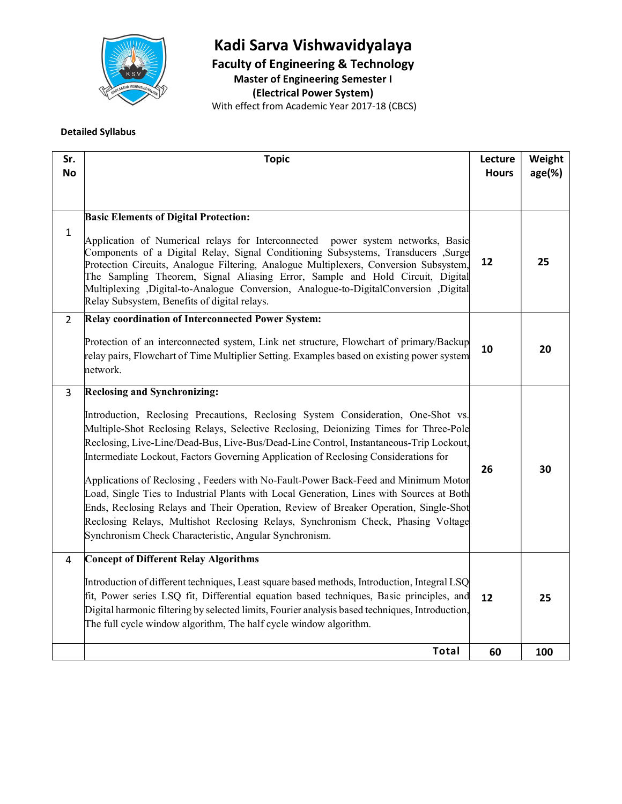

# Kadi Sarva Vishwavidyalaya

Faculty of Engineering & Technology

Master of Engineering Semester I

(Electrical Power System)

With effect from Academic Year 2017-18 (CBCS)

Detailed Syllabus

| Sr.            | <b>Topic</b>                                                                                                                                                                                                                                                                                                                                                                                                                                                                           | Lecture      | Weight    |
|----------------|----------------------------------------------------------------------------------------------------------------------------------------------------------------------------------------------------------------------------------------------------------------------------------------------------------------------------------------------------------------------------------------------------------------------------------------------------------------------------------------|--------------|-----------|
| No             |                                                                                                                                                                                                                                                                                                                                                                                                                                                                                        | <b>Hours</b> | $age(\%)$ |
|                |                                                                                                                                                                                                                                                                                                                                                                                                                                                                                        |              |           |
|                |                                                                                                                                                                                                                                                                                                                                                                                                                                                                                        |              |           |
|                | <b>Basic Elements of Digital Protection:</b>                                                                                                                                                                                                                                                                                                                                                                                                                                           |              |           |
| $\mathbf{1}$   | Application of Numerical relays for Interconnected power system networks, Basic<br>Components of a Digital Relay, Signal Conditioning Subsystems, Transducers ,Surge<br>Protection Circuits, Analogue Filtering, Analogue Multiplexers, Conversion Subsystem,<br>The Sampling Theorem, Signal Aliasing Error, Sample and Hold Circuit, Digital<br>Multiplexing ,Digital-to-Analogue Conversion, Analogue-to-DigitalConversion ,Digital<br>Relay Subsystem, Benefits of digital relays. | 12           | 25        |
| $\overline{2}$ | Relay coordination of Interconnected Power System:                                                                                                                                                                                                                                                                                                                                                                                                                                     |              |           |
|                | Protection of an interconnected system, Link net structure, Flowchart of primary/Backup<br>relay pairs, Flowchart of Time Multiplier Setting. Examples based on existing power system<br>network.                                                                                                                                                                                                                                                                                      | 10           | 20        |
| $\mathbf{3}$   | <b>Reclosing and Synchronizing:</b>                                                                                                                                                                                                                                                                                                                                                                                                                                                    |              |           |
|                | Introduction, Reclosing Precautions, Reclosing System Consideration, One-Shot vs.<br>Multiple-Shot Reclosing Relays, Selective Reclosing, Deionizing Times for Three-Pole<br>Reclosing, Live-Line/Dead-Bus, Live-Bus/Dead-Line Control, Instantaneous-Trip Lockout,<br>Intermediate Lockout, Factors Governing Application of Reclosing Considerations for                                                                                                                             | 26           | 30        |
|                | Applications of Reclosing, Feeders with No-Fault-Power Back-Feed and Minimum Motor                                                                                                                                                                                                                                                                                                                                                                                                     |              |           |
|                | Load, Single Ties to Industrial Plants with Local Generation, Lines with Sources at Both<br>Ends, Reclosing Relays and Their Operation, Review of Breaker Operation, Single-Shot                                                                                                                                                                                                                                                                                                       |              |           |
|                | Reclosing Relays, Multishot Reclosing Relays, Synchronism Check, Phasing Voltage<br>Synchronism Check Characteristic, Angular Synchronism.                                                                                                                                                                                                                                                                                                                                             |              |           |
| 4              | <b>Concept of Different Relay Algorithms</b>                                                                                                                                                                                                                                                                                                                                                                                                                                           |              |           |
|                | Introduction of different techniques, Least square based methods, Introduction, Integral LSQ<br>fit, Power series LSQ fit, Differential equation based techniques, Basic principles, and<br>Digital harmonic filtering by selected limits, Fourier analysis based techniques, Introduction,<br>The full cycle window algorithm, The half cycle window algorithm.                                                                                                                       | 12           | 25        |
|                | <b>Total</b>                                                                                                                                                                                                                                                                                                                                                                                                                                                                           | 60           | 100       |